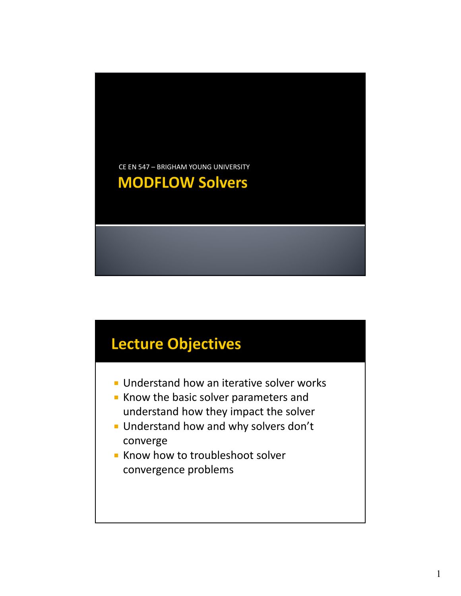

#### **Lecture Objectives**

- **Understand how an iterative solver works**
- Know the basic solver parameters and understand how they impact the solver
- **Understand how and why solvers don't** converge
- Know how to troubleshoot solver convergence problems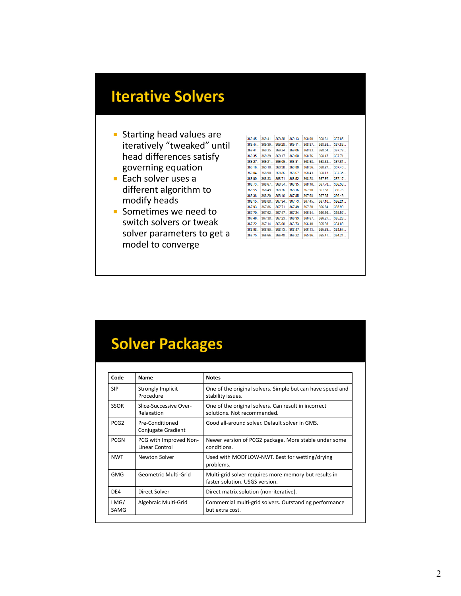## **Iterative Solvers**

- **Starting head values are** iteratively "tweaked" until head differences satisfy governing equation
- Each solver uses a different algorithm to modify heads
- **Sometimes we need to** switch solvers or tweak solver parameters to get a model to converge

| 369.45  | 369.41  | 369.30  | 369.13  | 368.90  | 368.61  | 36785   |
|---------|---------|---------|---------|---------|---------|---------|
| 369.44  | 369.39  | 369.28  | 369.11  | 368.87  | 368.58  | 367.83  |
| 369.41  | 369.35  | 369.24  | 369.06  | 368.83  | 368.54  | 367.78  |
| 369.35  | 369.29  | 369.17  | 369.00  | 368.76  | 368.47  | 367.71  |
| 369.27  | 369.21  | 369.09  | 368.91  | 368.68  | 368.38  | 367.61  |
| 369.16  | 369.10  | 368.98  | 368.80  | 368.56  | 368.27  | 367.49  |
| 369.04  | 368.98  | 368.86  | 368.67  | 368.43  | 368 13  | 367.35  |
| 368.90  | 368.83  | 368 71  | 368.52  | 368.28  | 367.97  | 367.17  |
| 368.73. | 368.67. | 368.54. | 368.35. | 368.10  | 367.78  | 366.98  |
| 368.55. | 368.49  | 368.36  | 368.16  | 367.90  | 367.58  | 366.75  |
| 368.36. | 368.29. | 368.16  | 367.95. | 367.68. | 367.35  | 366.49. |
| 368.15. | 368.08. | 367.94. | 367.73. | 367.45  | 367.10  | 366.21. |
| 367.93. | 367.86. | 367.71. | 367.49  | 367.20. | 366.84. | 365.90. |
| 367.70  | 367.62  | 367.47  | 367.24  | 366.94  | 366.56. | 365.57. |
| 367.46  | 367.38  | 367.23  | 366.99  | 366.67  | 366.27  | 365.23. |
| 367.22  | 367.14  | 366.98. | 366.73  | 366.40  | 365.98  | 364.88  |
| 366.98  | 366.90  | 366.73  | 366.47. | 366.13. | 365.69  | 364.54  |
| 366.75  | 366.66  | 366.48  | 366.22  | 365.86  | 365.41  | 364.21  |

## **Solver Packages**

| Code             | Name                                     | <b>Notes</b>                                                                            |  |  |
|------------------|------------------------------------------|-----------------------------------------------------------------------------------------|--|--|
| <b>SIP</b>       | Strongly Implicit<br>Procedure           | One of the original solvers. Simple but can have speed and<br>stability issues.         |  |  |
| <b>SSOR</b>      | Slice-Successive Over-<br>Relaxation     | One of the original solvers. Can result in incorrect<br>solutions. Not recommended.     |  |  |
| PCG <sub>2</sub> | Pre-Conditioned<br>Conjugate Gradient    | Good all-around solver. Default solver in GMS.                                          |  |  |
| <b>PCGN</b>      | PCG with Improved Non-<br>Linear Control | Newer version of PCG2 package. More stable under some<br>conditions.                    |  |  |
| <b>NWT</b>       | Newton Solver                            | Used with MODFLOW-NWT. Best for wetting/drying<br>problems.                             |  |  |
| <b>GMG</b>       | Geometric Multi-Grid                     | Multi-grid solver requires more memory but results in<br>faster solution. USGS version. |  |  |
| DE4              | Direct Solver                            | Direct matrix solution (non-iterative).                                                 |  |  |
| LMG/<br>SAMG     | Algebraic Multi-Grid                     | Commercial multi-grid solvers. Outstanding performance<br>but extra cost.               |  |  |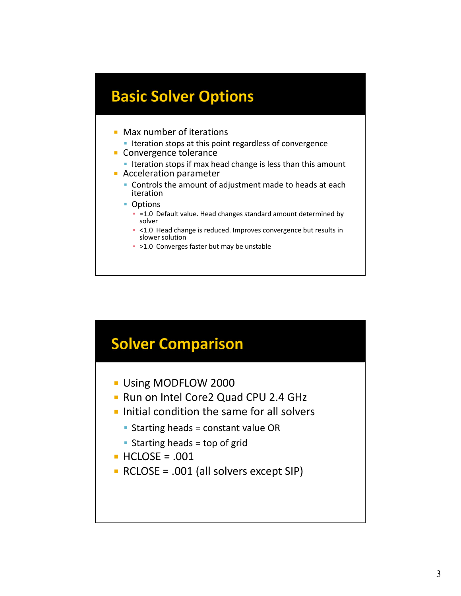#### **Basic Solver Options**

- **Max number of iterations** 
	- **Iteration stops at this point regardless of convergence**
- **Convergence tolerance** 
	- **Iteration stops if max head change is less than this amount**
- **Acceleration parameter** 
	- Controls the amount of adjustment made to heads at each iteration
	- Options
		- **= =1.0 Default value. Head changes standard amount determined by** solver
		- <1.0 Head change is reduced. Improves convergence but results in slower solution
		- >1.0 Converges faster but may be unstable



- **Using MODFLOW 2000**
- **Run on Intel Core2 Quad CPU 2.4 GHz**
- $\blacksquare$  Initial condition the same for all solvers
	- $\blacksquare$  Starting heads = constant value OR
	- Starting heads  $=$  top of grid
- $\blacksquare$  HCLOSE = .001
- RCLOSE = .001 (all solvers except SIP)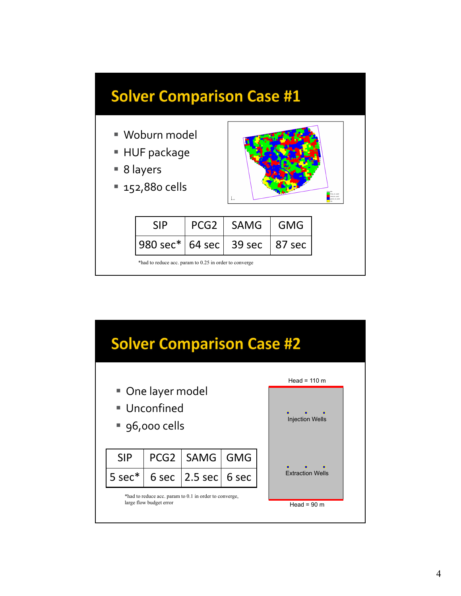

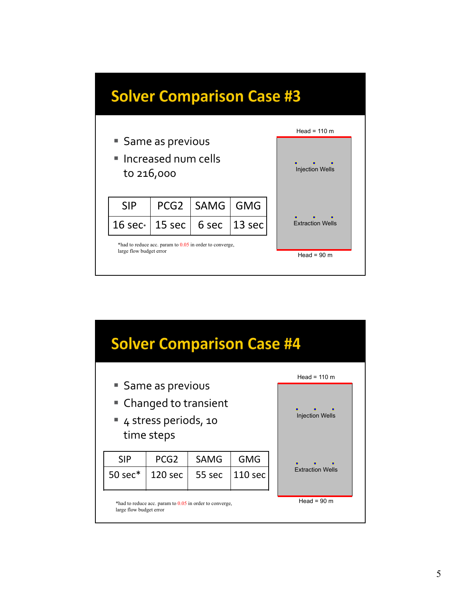

| <b>Solver Comparison Case #4</b>                                                   |                        |            |                         |  |  |  |  |
|------------------------------------------------------------------------------------|------------------------|------------|-------------------------|--|--|--|--|
|                                                                                    | Head = $110 \text{ m}$ |            |                         |  |  |  |  |
| ■ Same as previous<br>• Changed to transient<br>4 stress periods, 10<br>time steps | <b>Injection Wells</b> |            |                         |  |  |  |  |
| <b>SIP</b><br>PCG <sub>2</sub>                                                     | <b>SAMG</b>            | <b>GMG</b> | <b>Extraction Wells</b> |  |  |  |  |
| 50 sec*<br>120 sec                                                                 | 55 sec                 | 110 sec    |                         |  |  |  |  |
| *had to reduce acc. param to 0.05 in order to converge,<br>large flow budget error | Head = $90 \text{ m}$  |            |                         |  |  |  |  |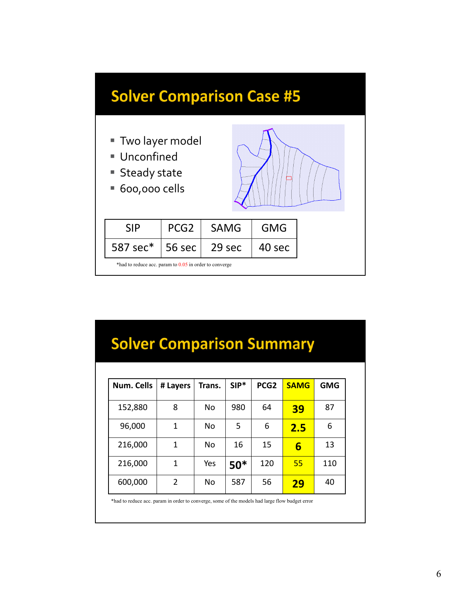

# **Solver Comparison Summary**

| Num. Cells | # Layers      | Trans. | $SIP*$ | PCG <sub>2</sub> | <b>SAMG</b> | <b>GMG</b> |
|------------|---------------|--------|--------|------------------|-------------|------------|
| 152,880    | 8             | No     | 980    | 64               | 39          | 87         |
| 96,000     | 1             | No     | 5      | 6                | 2.5         | 6          |
| 216,000    | 1             | No     | 16     | 15               | 6           | 13         |
| 216,000    | 1             | Yes    | $50*$  | 120              | 55          | 110        |
| 600,000    | $\mathcal{P}$ | No     | 587    | 56               | 29          | 40         |

\*had to reduce acc. param in order to converge, some of the models had large flow budget error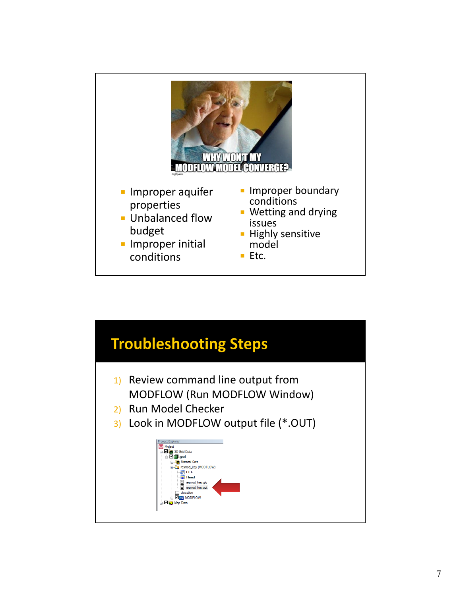

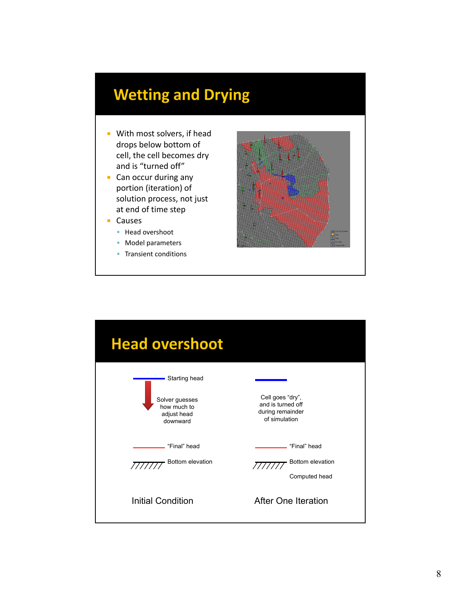# **Wetting and Drying**

- **With most solvers, if head** drops below bottom of cell, the cell becomes dry and is "turned off"
- **Can occur during any** portion (iteration) of solution process, not just at end of time step
- Causes
	- **Head overshoot**
	- **Model parameters**
	- **Transient conditions**



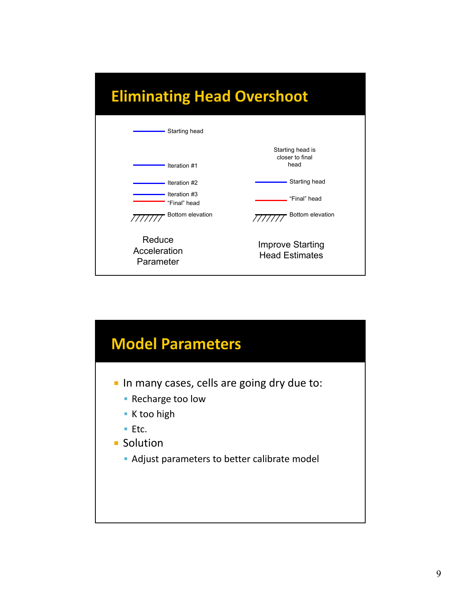# **Eliminating Head Overshoot**



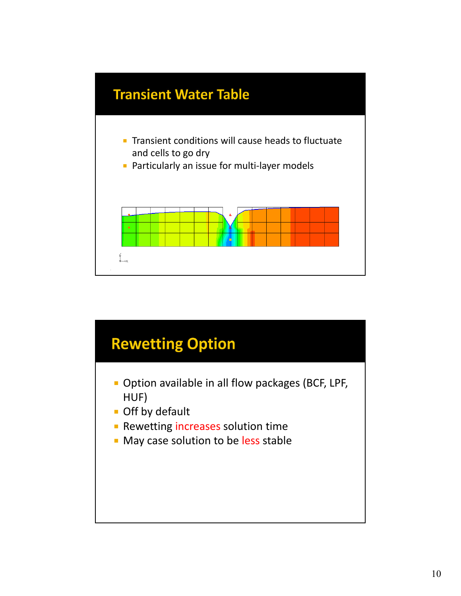